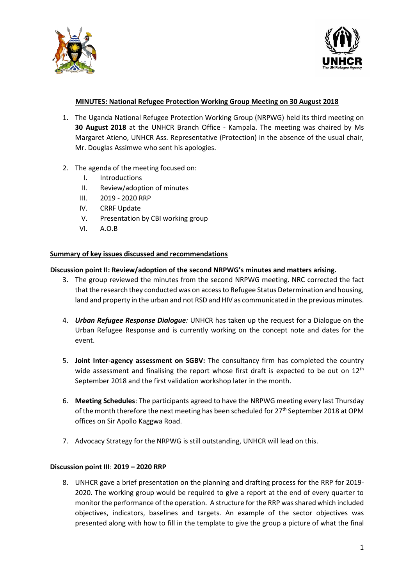



# **MINUTES: National Refugee Protection Working Group Meeting on 30 August 2018**

- 1. The Uganda National Refugee Protection Working Group (NRPWG) held its third meeting on **30 August 2018** at the UNHCR Branch Office - Kampala. The meeting was chaired by Ms Margaret Atieno, UNHCR Ass. Representative (Protection) in the absence of the usual chair, Mr. Douglas Assimwe who sent his apologies.
- 2. The agenda of the meeting focused on:
	- I. Introductions
	- II. Review/adoption of minutes
	- III. 2019 2020 RRP
	- IV. CRRF Update
	- V. Presentation by CBI working group
	- VI. A.O.B

### **Summary of key issues discussed and recommendations**

### **Discussion point II: Review/adoption of the second NRPWG's minutes and matters arising.**

- 3. The group reviewed the minutes from the second NRPWG meeting. NRC corrected the fact that the research they conducted was on access to Refugee Status Determination and housing, land and property in the urban and not RSD and HIV as communicated in the previous minutes.
- 4. *Urban Refugee Response Dialogue:* UNHCR has taken up the request for a Dialogue on the Urban Refugee Response and is currently working on the concept note and dates for the event.
- 5. **Joint Inter-agency assessment on SGBV:** The consultancy firm has completed the country wide assessment and finalising the report whose first draft is expected to be out on  $12<sup>th</sup>$ September 2018 and the first validation workshop later in the month.
- 6. **Meeting Schedules**: The participants agreed to have the NRPWG meeting every last Thursday of the month therefore the next meeting has been scheduled for  $27<sup>th</sup>$  September 2018 at OPM offices on Sir Apollo Kaggwa Road.
- 7. Advocacy Strategy for the NRPWG is still outstanding, UNHCR will lead on this.

## **Discussion point III**: **2019 – 2020 RRP**

8. UNHCR gave a brief presentation on the planning and drafting process for the RRP for 2019- 2020. The working group would be required to give a report at the end of every quarter to monitor the performance of the operation. A structure for the RRP was shared which included objectives, indicators, baselines and targets. An example of the sector objectives was presented along with how to fill in the template to give the group a picture of what the final